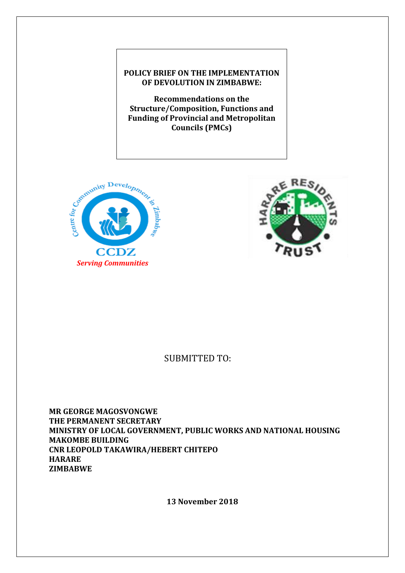## **POLICY BRIEF ON THE IMPLEMENTATION OF DEVOLUTION IN ZIMBABWE:**

**Recommendations on the Structure/Composition, Functions and Funding of Provincial and Metropolitan Councils (PMCs)**





# SUBMITTED TO:

**MR GEORGE MAGOSVONGWE THE PERMANENT SECRETARY MINISTRY OF LOCAL GOVERNMENT, PUBLIC WORKS AND NATIONAL HOUSING MAKOMBE BUILDING CNR LEOPOLD TAKAWIRA/HEBERT CHITEPO HARARE ZIMBABWE** 

**13 November 2018**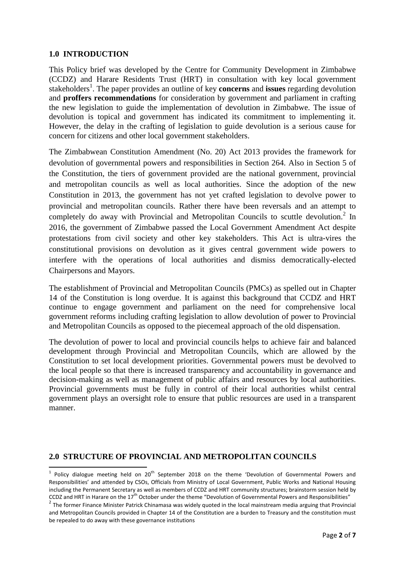### **1.0 INTRODUCTION**

**.** 

This Policy brief was developed by the Centre for Community Development in Zimbabwe (CCDZ) and Harare Residents Trust (HRT) in consultation with key local government stakeholders<sup>1</sup>. The paper provides an outline of key **concerns** and **issues** regarding devolution and **proffers recommendations** for consideration by government and parliament in crafting the new legislation to guide the implementation of devolution in Zimbabwe. The issue of devolution is topical and government has indicated its commitment to implementing it. However, the delay in the crafting of legislation to guide devolution is a serious cause for concern for citizens and other local government stakeholders.

The Zimbabwean Constitution Amendment (No. 20) Act 2013 provides the framework for devolution of governmental powers and responsibilities in Section 264. Also in Section 5 of the Constitution, the tiers of government provided are the national government, provincial and metropolitan councils as well as local authorities. Since the adoption of the new Constitution in 2013, the government has not yet crafted legislation to devolve power to provincial and metropolitan councils. Rather there have been reversals and an attempt to completely do away with Provincial and Metropolitan Councils to scuttle devolution.<sup>2</sup> In 2016, the government of Zimbabwe passed the Local Government Amendment Act despite protestations from civil society and other key stakeholders. This Act is ultra-vires the constitutional provisions on devolution as it gives central government wide powers to interfere with the operations of local authorities and dismiss democratically-elected Chairpersons and Mayors.

The establishment of Provincial and Metropolitan Councils (PMCs) as spelled out in Chapter 14 of the Constitution is long overdue. It is against this background that CCDZ and HRT continue to engage government and parliament on the need for comprehensive local government reforms including crafting legislation to allow devolution of power to Provincial and Metropolitan Councils as opposed to the piecemeal approach of the old dispensation.

The devolution of power to local and provincial councils helps to achieve fair and balanced development through Provincial and Metropolitan Councils, which are allowed by the Constitution to set local development priorities. Governmental powers must be devolved to the local people so that there is increased transparency and accountability in governance and decision-making as well as management of public affairs and resources by local authorities. Provincial governments must be fully in control of their local authorities whilst central government plays an oversight role to ensure that public resources are used in a transparent manner.

#### **2.0 STRUCTURE OF PROVINCIAL AND METROPOLITAN COUNCILS**

 $1$  Policy dialogue meeting held on 20<sup>th</sup> September 2018 on the theme 'Devolution of Governmental Powers and Responsibilities' and attended by CSOs, Officials from Ministry of Local Government, Public Works and National Housing including the Permanent Secretary as well as members of CCDZ and HRT community structures; brainstorm session held by CCDZ and HRT in Harare on the 17<sup>th</sup> October under the theme "Devolution of Governmental Powers and Responsibilities"

<sup>&</sup>lt;sup>2</sup> The former Finance Minister Patrick Chinamasa was widely quoted in the local mainstream media arguing that Provincial and Metropolitan Councils provided in Chapter 14 of the Constitution are a burden to Treasury and the constitution must be repealed to do away with these governance institutions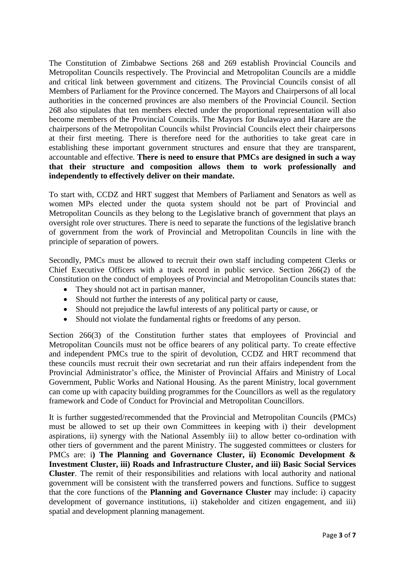The Constitution of Zimbabwe Sections 268 and 269 establish Provincial Councils and Metropolitan Councils respectively. The Provincial and Metropolitan Councils are a middle and critical link between government and citizens. The Provincial Councils consist of all Members of Parliament for the Province concerned. The Mayors and Chairpersons of all local authorities in the concerned provinces are also members of the Provincial Council. Section 268 also stipulates that ten members elected under the proportional representation will also become members of the Provincial Councils. The Mayors for Bulawayo and Harare are the chairpersons of the Metropolitan Councils whilst Provincial Councils elect their chairpersons at their first meeting. There is therefore need for the authorities to take great care in establishing these important government structures and ensure that they are transparent, accountable and effective. **There is need to ensure that PMCs are designed in such a way that their structure and composition allows them to work professionally and independently to effectively deliver on their mandate.** 

To start with, CCDZ and HRT suggest that Members of Parliament and Senators as well as women MPs elected under the quota system should not be part of Provincial and Metropolitan Councils as they belong to the Legislative branch of government that plays an oversight role over structures. There is need to separate the functions of the legislative branch of government from the work of Provincial and Metropolitan Councils in line with the principle of separation of powers.

Secondly, PMCs must be allowed to recruit their own staff including competent Clerks or Chief Executive Officers with a track record in public service. Section 266(2) of the Constitution on the conduct of employees of Provincial and Metropolitan Councils states that:

- They should not act in partisan manner,
- Should not further the interests of any political party or cause,
- Should not prejudice the lawful interests of any political party or cause, or
- Should not violate the fundamental rights or freedoms of any person.

Section 266(3) of the Constitution further states that employees of Provincial and Metropolitan Councils must not be office bearers of any political party. To create effective and independent PMCs true to the spirit of devolution, CCDZ and HRT recommend that these councils must recruit their own secretariat and run their affairs independent from the Provincial Administrator's office, the Minister of Provincial Affairs and Ministry of Local Government, Public Works and National Housing. As the parent Ministry, local government can come up with capacity building programmes for the Councillors as well as the regulatory framework and Code of Conduct for Provincial and Metropolitan Councillors.

It is further suggested/recommended that the Provincial and Metropolitan Councils (PMCs) must be allowed to set up their own Committees in keeping with i) their development aspirations, ii) synergy with the National Assembly iii) to allow better co-ordination with other tiers of government and the parent Ministry. The suggested committees or clusters for PMCs are: i**) The Planning and Governance Cluster, ii) Economic Development & Investment Cluster, iii) Roads and Infrastructure Cluster, and iii) Basic Social Services Cluster**. The remit of their responsibilities and relations with local authority and national government will be consistent with the transferred powers and functions. Suffice to suggest that the core functions of the **Planning and Governance Cluster** may include: i) capacity development of governance institutions, ii) stakeholder and citizen engagement, and iii) spatial and development planning management.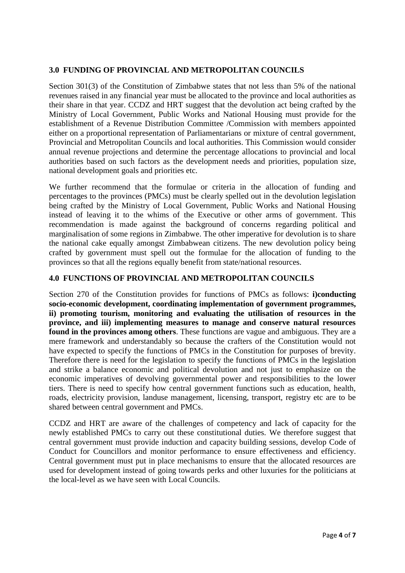## **3.0 FUNDING OF PROVINCIAL AND METROPOLITAN COUNCILS**

Section 301(3) of the Constitution of Zimbabwe states that not less than 5% of the national revenues raised in any financial year must be allocated to the province and local authorities as their share in that year. CCDZ and HRT suggest that the devolution act being crafted by the Ministry of Local Government, Public Works and National Housing must provide for the establishment of a Revenue Distribution Committee /Commission with members appointed either on a proportional representation of Parliamentarians or mixture of central government, Provincial and Metropolitan Councils and local authorities. This Commission would consider annual revenue projections and determine the percentage allocations to provincial and local authorities based on such factors as the development needs and priorities, population size, national development goals and priorities etc.

We further recommend that the formulae or criteria in the allocation of funding and percentages to the provinces (PMCs) must be clearly spelled out in the devolution legislation being crafted by the Ministry of Local Government, Public Works and National Housing instead of leaving it to the whims of the Executive or other arms of government. This recommendation is made against the background of concerns regarding political and marginalisation of some regions in Zimbabwe. The other imperative for devolution is to share the national cake equally amongst Zimbabwean citizens. The new devolution policy being crafted by government must spell out the formulae for the allocation of funding to the provinces so that all the regions equally benefit from state/national resources.

## **4.0 FUNCTIONS OF PROVINCIAL AND METROPOLITAN COUNCILS**

Section 270 of the Constitution provides for functions of PMCs as follows: **i)conducting socio-economic development, coordinating implementation of government programmes, ii) promoting tourism, monitoring and evaluating the utilisation of resources in the province, and iii) implementing measures to manage and conserve natural resources found in the provinces among others**. These functions are vague and ambiguous. They are a mere framework and understandably so because the crafters of the Constitution would not have expected to specify the functions of PMCs in the Constitution for purposes of brevity. Therefore there is need for the legislation to specify the functions of PMCs in the legislation and strike a balance economic and political devolution and not just to emphasize on the economic imperatives of devolving governmental power and responsibilities to the lower tiers. There is need to specify how central government functions such as education, health, roads, electricity provision, landuse management, licensing, transport, registry etc are to be shared between central government and PMCs.

CCDZ and HRT are aware of the challenges of competency and lack of capacity for the newly established PMCs to carry out these constitutional duties. We therefore suggest that central government must provide induction and capacity building sessions, develop Code of Conduct for Councillors and monitor performance to ensure effectiveness and efficiency. Central government must put in place mechanisms to ensure that the allocated resources are used for development instead of going towards perks and other luxuries for the politicians at the local-level as we have seen with Local Councils.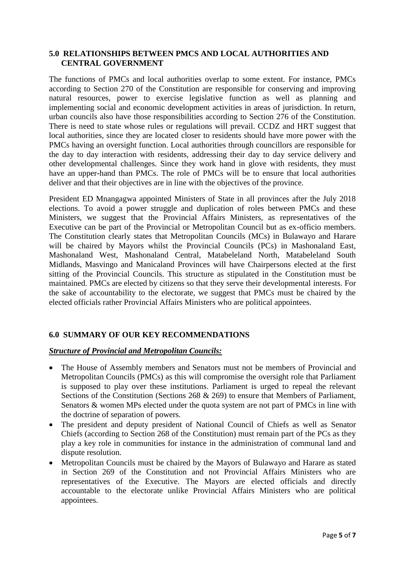#### **5.0 RELATIONSHIPS BETWEEN PMCS AND LOCAL AUTHORITIES AND CENTRAL GOVERNMENT**

The functions of PMCs and local authorities overlap to some extent. For instance, PMCs according to Section 270 of the Constitution are responsible for conserving and improving natural resources, power to exercise legislative function as well as planning and implementing social and economic development activities in areas of jurisdiction. In return, urban councils also have those responsibilities according to Section 276 of the Constitution. There is need to state whose rules or regulations will prevail. CCDZ and HRT suggest that local authorities, since they are located closer to residents should have more power with the PMCs having an oversight function. Local authorities through councillors are responsible for the day to day interaction with residents, addressing their day to day service delivery and other developmental challenges. Since they work hand in glove with residents, they must have an upper-hand than PMCs. The role of PMCs will be to ensure that local authorities deliver and that their objectives are in line with the objectives of the province.

President ED Mnangagwa appointed Ministers of State in all provinces after the July 2018 elections. To avoid a power struggle and duplication of roles between PMCs and these Ministers, we suggest that the Provincial Affairs Ministers, as representatives of the Executive can be part of the Provincial or Metropolitan Council but as ex-officio members. The Constitution clearly states that Metropolitan Councils (MCs) in Bulawayo and Harare will be chaired by Mayors whilst the Provincial Councils (PCs) in Mashonaland East, Mashonaland West, Mashonaland Central, Matabeleland North, Matabeleland South Midlands, Masvingo and Manicaland Provinces will have Chairpersons elected at the first sitting of the Provincial Councils. This structure as stipulated in the Constitution must be maintained. PMCs are elected by citizens so that they serve their developmental interests. For the sake of accountability to the electorate, we suggest that PMCs must be chaired by the elected officials rather Provincial Affairs Ministers who are political appointees.

## **6.0 SUMMARY OF OUR KEY RECOMMENDATIONS**

#### *Structure of Provincial and Metropolitan Councils:*

- The House of Assembly members and Senators must not be members of Provincial and Metropolitan Councils (PMCs) as this will compromise the oversight role that Parliament is supposed to play over these institutions. Parliament is urged to repeal the relevant Sections of the Constitution (Sections 268 & 269) to ensure that Members of Parliament, Senators & women MPs elected under the quota system are not part of PMCs in line with the doctrine of separation of powers.
- The president and deputy president of National Council of Chiefs as well as Senator Chiefs (according to Section 268 of the Constitution) must remain part of the PCs as they play a key role in communities for instance in the administration of communal land and dispute resolution.
- Metropolitan Councils must be chaired by the Mayors of Bulawayo and Harare as stated in Section 269 of the Constitution and not Provincial Affairs Ministers who are representatives of the Executive. The Mayors are elected officials and directly accountable to the electorate unlike Provincial Affairs Ministers who are political appointees.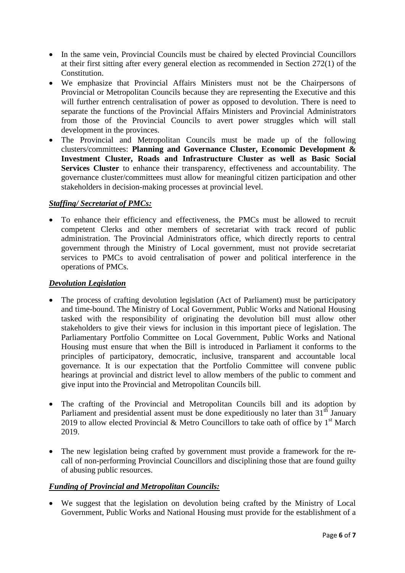- In the same vein, Provincial Councils must be chaired by elected Provincial Councillors at their first sitting after every general election as recommended in Section 272(1) of the **Constitution**
- We emphasize that Provincial Affairs Ministers must not be the Chairpersons of Provincial or Metropolitan Councils because they are representing the Executive and this will further entrench centralisation of power as opposed to devolution. There is need to separate the functions of the Provincial Affairs Ministers and Provincial Administrators from those of the Provincial Councils to avert power struggles which will stall development in the provinces.
- The Provincial and Metropolitan Councils must be made up of the following clusters/committees: **Planning and Governance Cluster, Economic Development & Investment Cluster, Roads and Infrastructure Cluster as well as Basic Social Services Cluster** to enhance their transparency, effectiveness and accountability. The governance cluster/committees must allow for meaningful citizen participation and other stakeholders in decision-making processes at provincial level.

### *Staffing/ Secretariat of PMCs:*

 To enhance their efficiency and effectiveness, the PMCs must be allowed to recruit competent Clerks and other members of secretariat with track record of public administration. The Provincial Administrators office, which directly reports to central government through the Ministry of Local government, must not provide secretariat services to PMCs to avoid centralisation of power and political interference in the operations of PMCs.

#### *Devolution Legislation*

- The process of crafting devolution legislation (Act of Parliament) must be participatory and time-bound. The Ministry of Local Government, Public Works and National Housing tasked with the responsibility of originating the devolution bill must allow other stakeholders to give their views for inclusion in this important piece of legislation. The Parliamentary Portfolio Committee on Local Government, Public Works and National Housing must ensure that when the Bill is introduced in Parliament it conforms to the principles of participatory, democratic, inclusive, transparent and accountable local governance. It is our expectation that the Portfolio Committee will convene public hearings at provincial and district level to allow members of the public to comment and give input into the Provincial and Metropolitan Councils bill.
- The crafting of the Provincial and Metropolitan Councils bill and its adoption by Parliament and presidential assent must be done expeditiously no later than  $31<sup>th</sup>$  January 2019 to allow elected Provincial & Metro Councillors to take oath of office by  $1<sup>st</sup>$  March 2019.
- The new legislation being crafted by government must provide a framework for the recall of non-performing Provincial Councillors and disciplining those that are found guilty of abusing public resources.

## *Funding of Provincial and Metropolitan Councils:*

 We suggest that the legislation on devolution being crafted by the Ministry of Local Government, Public Works and National Housing must provide for the establishment of a